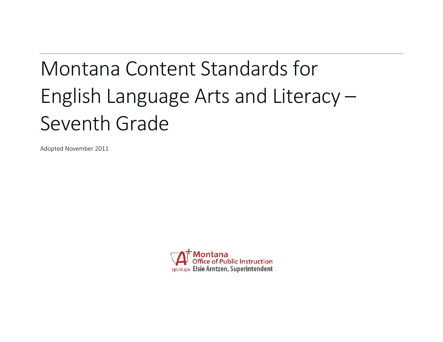# Montana Content Standards for English Language Arts and Literacy – Seventh Grade

Adopted November 2011

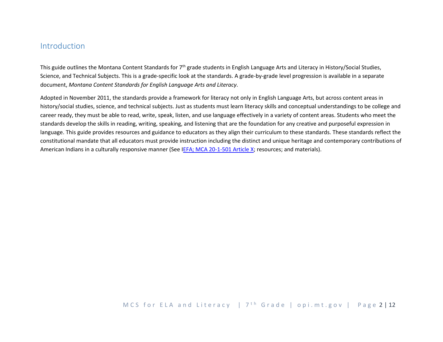## Introduction

This guide outlines the Montana Content Standards for  $7<sup>th</sup>$  grade students in English Language Arts and Literacy in History/Social Studies, Science, and Technical Subjects. This is a grade-specific look at the standards. A grade-by-grade level progression is available in a separate document, *Montana Content Standards for English Language Arts and Literacy*.

Adopted in November 2011, the standards provide a framework for literacy not only in English Language Arts, but across content areas in history/social studies, science, and technical subjects. Just as students must learn literacy skills and conceptual understandings to be college and career ready, they must be able to read, write, speak, listen, and use language effectively in a variety of content areas. Students who meet the standards develop the skills in reading, writing, speaking, and listening that are the foundation for any creative and purposeful expression in language. This guide provides resources and guidance to educators as they align their curriculum to these standards. These standards reflect the constitutional mandate that all educators must provide instruction including the distinct and unique heritage and contemporary contributions of American Indians in a culturally responsive manner (See [IEFA; MCA 20-1-501 Article X;](http://www.opi.mt.gov/PDF/IndianEd/Resources/ArticleX_IEFA.pdf) resources; and materials).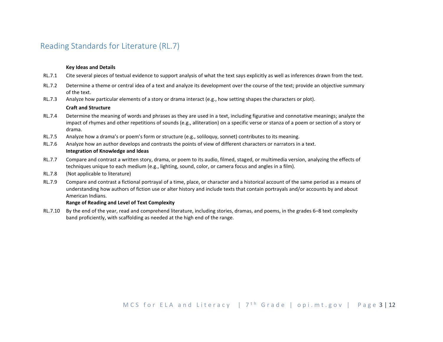## Reading Standards for Literature (RL.7)

#### **Key Ideas and Details**

- RL.7.1 Cite several pieces of textual evidence to support analysis of what the text says explicitly as well as inferences drawn from the text.
- RL.7.2 Determine a theme or central idea of a text and analyze its development over the course of the text; provide an objective summary of the text.
- RL.7.3 Analyze how particular elements of a story or drama interact (e.g., how setting shapes the characters or plot).

#### **Craft and Structure**

- RL.7.4 Determine the meaning of words and phrases as they are used in a text, including figurative and connotative meanings; analyze the impact of rhymes and other repetitions of sounds (e.g., alliteration) on a specific verse or stanza of a poem or section of a story or drama.
- RL.7.5 Analyze how a drama's or poem's form or structure (e.g., soliloquy, sonnet) contributes to its meaning.
- RL.7.6 Analyze how an author develops and contrasts the points of view of different characters or narrators in a text. **Integration of Knowledge and Ideas**
- RL.7.7 Compare and contrast a written story, drama, or poem to its audio, filmed, staged, or multimedia version, analyzing the effects of techniques unique to each medium (e.g., lighting, sound, color, or camera focus and angles in a film).
- RL.7.8 (Not applicable to literature)
- RL.7.9 Compare and contrast a fictional portrayal of a time, place, or character and a historical account of the same period as a means of understanding how authors of fiction use or alter history and include texts that contain portrayals and/or accounts by and about American Indians.

#### **Range of Reading and Level of Text Complexity**

RL.7.10 By the end of the year, read and comprehend literature, including stories, dramas, and poems, in the grades 6–8 text complexity band proficiently, with scaffolding as needed at the high end of the range.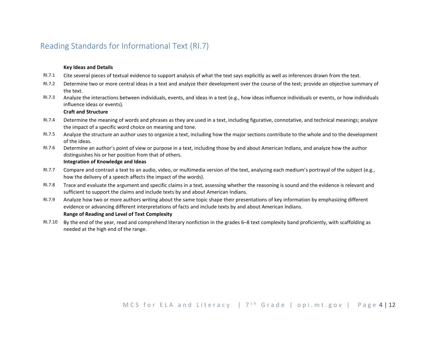## Reading Standards for Informational Text (RI.7)

#### **Key Ideas and Details**

- RI.7.1 Cite several pieces of textual evidence to support analysis of what the text says explicitly as well as inferences drawn from the text.
- RI.7.2 Determine two or more central ideas in a text and analyze their development over the course of the text; provide an objective summary of the text.
- RI.7.3 Analyze the interactions between individuals, events, and ideas in a text (e.g., how ideas influence individuals or events, or how individuals influence ideas or events).

#### **Craft and Structure**

- RI.7.4 Determine the meaning of words and phrases as they are used in a text, including figurative, connotative, and technical meanings; analyze the impact of a specific word choice on meaning and tone.
- RI.7.5 Analyze the structure an author uses to organize a text, including how the major sections contribute to the whole and to the development of the ideas.
- RI.7.6 Determine an author's point of view or purpose in a text, including those by and about American Indians, and analyze how the author distinguishes his or her position from that of others. **Integration of Knowledge and Ideas**

- RI.7.7 Compare and contrast a text to an audio, video, or multimedia version of the text, analyzing each medium's portrayal of the subject (e.g., how the delivery of a speech affects the impact of the words).
- RI.7.8 Trace and evaluate the argument and specific claims in a text, assessing whether the reasoning is sound and the evidence is relevant and sufficient to support the claims and include texts by and about American Indians.
- RI.7.9 Analyze how two or more authors writing about the same topic shape their presentations of key information by emphasizing different evidence or advancing different interpretations of facts and include texts by and about American Indians.

#### **Range of Reading and Level of Text Complexity**

RI.7.10 By the end of the year, read and comprehend literary nonfiction in the grades 6–8 text complexity band proficiently, with scaffolding as needed at the high end of the range.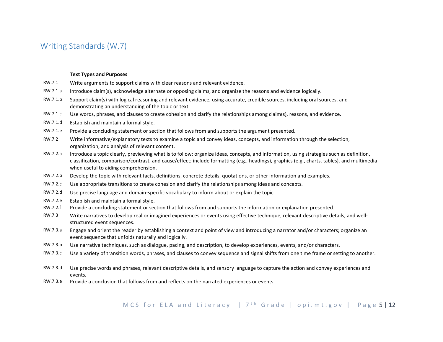## Writing Standards (W.7)

#### **Text Types and Purposes**

- RW.7.1 Write arguments to support claims with clear reasons and relevant evidence.
- RW.7.1.a Introduce claim(s), acknowledge alternate or opposing claims, and organize the reasons and evidence logically.
- RW.7.1.b Support claim(s) with logical reasoning and relevant evidence, using accurate, credible sources, including oral sources, and demonstrating an understanding of the topic or text.
- RW.7.1.c Use words, phrases, and clauses to create cohesion and clarify the relationships among claim(s), reasons, and evidence.
- RW.7.1.d Establish and maintain a formal style.
- RW.7.1.e Provide a concluding statement or section that follows from and supports the argument presented.
- RW.7.2 Write informative/explanatory texts to examine a topic and convey ideas, concepts, and information through the selection, organization, and analysis of relevant content.
- RW.7.2.a Introduce a topic clearly, previewing what is to follow; organize ideas, concepts, and information, using strategies such as definition, classification, comparison/contrast, and cause/effect; include formatting (e.g., headings), graphics (e.g., charts, tables), and multimedia when useful to aiding comprehension.
- RW.7.2.b Develop the topic with relevant facts, definitions, concrete details, quotations, or other information and examples.
- RW.7.2.c Use appropriate transitions to create cohesion and clarify the relationships among ideas and concepts.
- RW.7.2.d Use precise language and domain-specific vocabulary to inform about or explain the topic.
- RW.7.2.e Establish and maintain a formal style.
- RW.7.2.f Provide a concluding statement or section that follows from and supports the information or explanation presented.
- RW.7.3 Write narratives to develop real or imagined experiences or events using effective technique, relevant descriptive details, and wellstructured event sequences.
- RW.7.3.a Engage and orient the reader by establishing a context and point of view and introducing a narrator and/or characters; organize an event sequence that unfolds naturally and logically.
- RW.7.3.b Use narrative techniques, such as dialogue, pacing, and description, to develop experiences, events, and/or characters.
- RW.7.3.c Use a variety of transition words, phrases, and clauses to convey sequence and signal shifts from one time frame or setting to another.
- RW.7.3.d Use precise words and phrases, relevant descriptive details, and sensory language to capture the action and convey experiences and events.
- RW.7.3.e Provide a conclusion that follows from and reflects on the narrated experiences or events.

## MCS for ELA and Literacy |  $7<sup>th</sup>$  Grade | opi.mt.gov | Page 5 | 12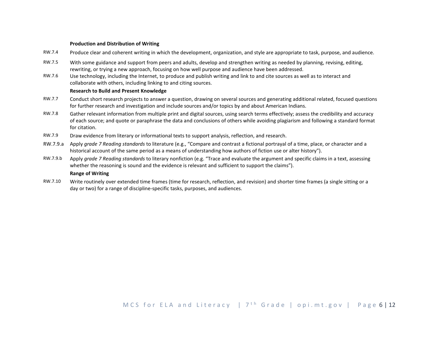#### **Production and Distribution of Writing**

- RW.7.4 Produce clear and coherent writing in which the development, organization, and style are appropriate to task, purpose, and audience.
- RW.7.5 With some guidance and support from peers and adults, develop and strengthen writing as needed by planning, revising, editing, rewriting, or trying a new approach, focusing on how well purpose and audience have been addressed.
- RW.7.6 Use technology, including the Internet, to produce and publish writing and link to and cite sources as well as to interact and collaborate with others, including linking to and citing sources.

#### **Research to Build and Present Knowledge**

- RW.7.7 Conduct short research projects to answer a question, drawing on several sources and generating additional related, focused questions for further research and investigation and include sources and/or topics by and about American Indians.
- RW.7.8 Gather relevant information from multiple print and digital sources, using search terms effectively; assess the credibility and accuracy of each source; and quote or paraphrase the data and conclusions of others while avoiding plagiarism and following a standard format for citation.
- RW.7.9 Draw evidence from literary or informational texts to support analysis, reflection, and research.
- RW.7.9.a Apply *grade 7 Reading standards* to literature (e.g., "Compare and contrast a fictional portrayal of a time, place, or character and a historical account of the same period as a means of understanding how authors of fiction use or alter history").
- RW.7.9.b Apply *grade 7 Reading standards* to literary nonfiction (e.g. "Trace and evaluate the argument and specific claims in a text, assessing whether the reasoning is sound and the evidence is relevant and sufficient to support the claims"). **Range of Writing**
- RW.7.10 Write routinely over extended time frames (time for research, reflection, and revision) and shorter time frames (a single sitting or a day or two) for a range of discipline-specific tasks, purposes, and audiences.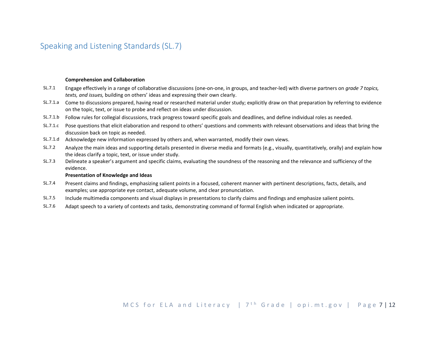## Speaking and Listening Standards (SL.7)

#### **Comprehension and Collaboration**

- SL.7.1 Engage effectively in a range of collaborative discussions (one-on-one, in groups, and teacher-led) with diverse partners on *grade 7 topics, texts, and issues,* building on others' ideas and expressing their own clearly.
- SL.7.1.a Come to discussions prepared, having read or researched material under study; explicitly draw on that preparation by referring to evidence on the topic, text, or issue to probe and reflect on ideas under discussion.
- SL.7.1.b Follow rules for collegial discussions, track progress toward specific goals and deadlines, and define individual roles as needed.
- SL.7.1.c Pose questions that elicit elaboration and respond to others' questions and comments with relevant observations and ideas that bring the discussion back on topic as needed.
- SL.7.1.d Acknowledge new information expressed by others and, when warranted, modify their own views.
- SL.7.2 Analyze the main ideas and supporting details presented in diverse media and formats (e.g., visually, quantitatively, orally) and explain how the ideas clarify a topic, text, or issue under study.
- SL.7.3 Delineate a speaker's argument and specific claims, evaluating the soundness of the reasoning and the relevance and sufficiency of the evidence.

#### **Presentation of Knowledge and Ideas**

- SL.7.4 Present claims and findings, emphasizing salient points in a focused, coherent manner with pertinent descriptions, facts, details, and examples; use appropriate eye contact, adequate volume, and clear pronunciation.
- SL.7.5 Include multimedia components and visual displays in presentations to clarify claims and findings and emphasize salient points.
- SL.7.6 Adapt speech to a variety of contexts and tasks, demonstrating command of formal English when indicated or appropriate.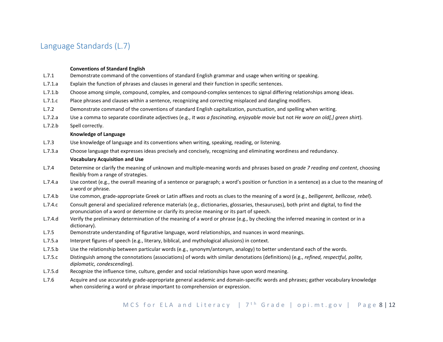## Language Standards (L.7)

#### **Conventions of Standard English**

- L.7.1 Demonstrate command of the conventions of standard English grammar and usage when writing or speaking.
- L.7.1.a Explain the function of phrases and clauses in general and their function in specific sentences.
- L.7.1.b Choose among simple, compound, complex, and compound-complex sentences to signal differing relationships among ideas.
- L.7.1.c Place phrases and clauses within a sentence, recognizing and correcting misplaced and dangling modifiers.
- L.7.2 Demonstrate command of the conventions of standard English capitalization, punctuation, and spelling when writing.
- L.7.2.a Use a comma to separate coordinate adjectives (e.g., *It was a fascinating, enjoyable movie* but not *He wore an old[,] green shirt*).
- L.7.2.b Spell correctly.

#### **Knowledge of Language**

- L.7.3 Use knowledge of language and its conventions when writing, speaking, reading, or listening.
- L.7.3.a Choose language that expresses ideas precisely and concisely, recognizing and eliminating wordiness and redundancy.

#### **Vocabulary Acquisition and Use**

- L.7.4 Determine or clarify the meaning of unknown and multiple-meaning words and phrases based on *grade 7 reading and content*, choosing flexibly from a range of strategies.
- L.7.4.a Use context (e.g., the overall meaning of a sentence or paragraph; a word's position or function in a sentence) as a clue to the meaning of a word or phrase.
- L.7.4.b Use common, grade-appropriate Greek or Latin affixes and roots as clues to the meaning of a word (e.g., *belligerent, bellicose, rebel*).
- L.7.4.c Consult general and specialized reference materials (e.g., dictionaries, glossaries, thesauruses), both print and digital, to find the pronunciation of a word or determine or clarify its precise meaning or its part of speech.
- L.7.4.d Verify the preliminary determination of the meaning of a word or phrase (e.g., by checking the inferred meaning in context or in a dictionary).
- L.7.5 Demonstrate understanding of figurative language, word relationships, and nuances in word meanings.
- L.7.5.a Interpret figures of speech (e.g., literary, biblical, and mythological allusions) in context.
- L.7.5.b Use the relationship between particular words (e.g., synonym/antonym, analogy) to better understand each of the words.
- L.7.5.c Distinguish among the connotations (associations) of words with similar denotations (definitions) (e.g., *refined, respectful, polite, diplomatic, condescending*).
- L.7.5.d Recognize the influence time, culture, gender and social relationships have upon word meaning.
- L.7.6 Acquire and use accurately grade-appropriate general academic and domain-specific words and phrases; gather vocabulary knowledge when considering a word or phrase important to comprehension or expression.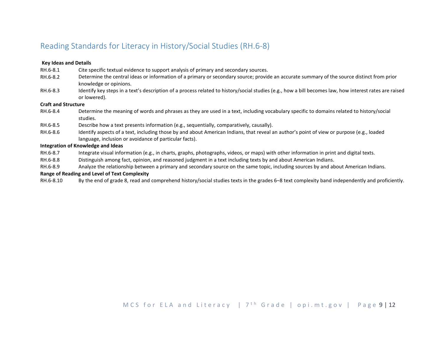## Reading Standards for Literacy in History/Social Studies (RH.6-8)

#### **Key Ideas and Details**

- RH.6-8.1 Cite specific textual evidence to support analysis of primary and secondary sources.
- RH.6-8.2 Determine the central ideas or information of a primary or secondary source; provide an accurate summary of the source distinct from prior knowledge or opinions.
- RH.6-8.3 Identify key steps in a text's description of a process related to history/social studies (e.g., how a bill becomes law, how interest rates are raised or lowered).

#### **Craft and Structure**

- RH.6-8.4 Determine the meaning of words and phrases as they are used in a text, including vocabulary specific to domains related to history/social studies.
- RH.6-8.5 Describe how a text presents information (e.g., sequentially, comparatively, causally).
- RH.6-8.6 Identify aspects of a text, including those by and about American Indians, that reveal an author's point of view or purpose (e.g., loaded language, inclusion or avoidance of particular facts).

#### **Integration of Knowledge and Ideas**

- RH.6-8.7 Integrate visual information (e.g., in charts, graphs, photographs, videos, or maps) with other information in print and digital texts.
- RH.6-8.8 Distinguish among fact, opinion, and reasoned judgment in a text including texts by and about American Indians.
- RH.6-8.9 Analyze the relationship between a primary and secondary source on the same topic, including sources by and about American Indians.

### **Range of Reading and Level of Text Complexity**

RH.6-8.10 By the end of grade 8, read and comprehend history/social studies texts in the grades 6–8 text complexity band independently and proficiently.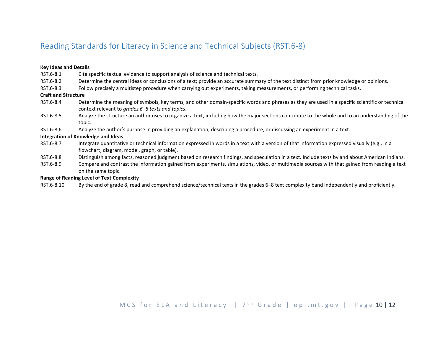## Reading Standards for Literacy in Science and Technical Subjects (RST.6-8)

#### **Key Ideas and Details**

- RST.6-8.1 Cite specific textual evidence to support analysis of science and technical texts.
- RST.6-8.2 Determine the central ideas or conclusions of a text; provide an accurate summary of the text distinct from prior knowledge or opinions.
- RST.6-8.3 Follow precisely a multistep procedure when carrying out experiments, taking measurements, or performing technical tasks.

#### **Craft and Structure**

- RST.6-8.4 Determine the meaning of symbols, key terms, and other domain-specific words and phrases as they are used in a specific scientific or technical context relevant to *grades 6–8 texts and topics*.
- RST.6-8.5 Analyze the structure an author uses to organize a text, including how the major sections contribute to the whole and to an understanding of the topic.
- RST.6-8.6 Analyze the author's purpose in providing an explanation, describing a procedure, or discussing an experiment in a text.

#### **Integration of Knowledge and Ideas**

- RST.6-8.7 Integrate quantitative or technical information expressed in words in a text with a version of that information expressed visually (e.g., in a flowchart, diagram, model, graph, or table).
- RST.6-8.8 Distinguish among facts, reasoned judgment based on research findings, and speculation in a text. Include texts by and about American Indians.
- RST.6-8.9 Compare and contrast the information gained from experiments, simulations, video, or multimedia sources with that gained from reading a text on the same topic.

#### **Range of Reading Level of Text Complexity**

RST.6-8.10 By the end of grade 8, read and comprehend science/technical texts in the grades 6–8 text complexity band independently and proficiently.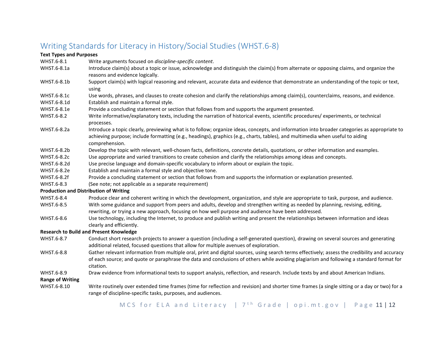## Writing Standards for Literacy in History/Social Studies (WHST.6-8)

### **Text Types and Purposes**

- WHST.6-8.1 Write arguments focused on *discipline-specific content*.
- WHST.6-8.1a Introduce claim(s) about a topic or issue, acknowledge and distinguish the claim(s) from alternate or opposing claims, and organize the reasons and evidence logically.
- WHST.6-8.1b Support claim(s) with logical reasoning and relevant, accurate data and evidence that demonstrate an understanding of the topic or text, using
- WHST.6-8.1c Use words, phrases, and clauses to create cohesion and clarify the relationships among claim(s), counterclaims, reasons, and evidence.
- WHST.6-8.1d Establish and maintain a formal style.
- WHST.6-8.1e Provide a concluding statement or section that follows from and supports the argument presented.
- WHST.6-8.2 Write informative/explanatory texts, including the narration of historical events, scientific procedures/ experiments, or technical processes.
- WHST.6-8.2a Introduce a topic clearly, previewing what is to follow; organize ideas, concepts, and information into broader categories as appropriate to achieving purpose; include formatting (e.g., headings), graphics (e.g., charts, tables), and multimedia when useful to aiding comprehension.
- WHST.6-8.2b Develop the topic with relevant, well-chosen facts, definitions, concrete details, quotations, or other information and examples.
- WHST.6-8.2c Use appropriate and varied transitions to create cohesion and clarify the relationships among ideas and concepts.
- WHST.6-8.2d Use precise language and domain-specific vocabulary to inform about or explain the topic.
- WHST.6-8.2e Establish and maintain a formal style and objective tone.
- WHST.6-8.2f Provide a concluding statement or section that follows from and supports the information or explanation presented.
- WHST.6-8.3 (See note; not applicable as a separate requirement)

### **Production and Distribution of Writing**

- WHST.6-8.4 Produce clear and coherent writing in which the development, organization, and style are appropriate to task, purpose, and audience.
- WHST.6-8.5 With some guidance and support from peers and adults, develop and strengthen writing as needed by planning, revising, editing, rewriting, or trying a new approach, focusing on how well purpose and audience have been addressed.
- WHST.6-8.6 Use technology, including the Internet, to produce and publish writing and present the relationships between information and ideas clearly and efficiently.

### **Research to Build and Present Knowledge**

- WHST.6-8.7 Conduct short research projects to answer a question (including a self-generated question), drawing on several sources and generating additional related, focused questions that allow for multiple avenues of exploration.
- WHST.6-8.8 Gather relevant information from multiple oral, print and digital sources, using search terms effectively; assess the credibility and accuracy of each source; and quote or paraphrase the data and conclusions of others while avoiding plagiarism and following a standard format for citation.
- WHST.6-8.9 Draw evidence from informational texts to support analysis, reflection, and research. Include texts by and about American Indians.

### **Range of Writing**

WHST.6-8.10 Write routinely over extended time frames (time for reflection and revision) and shorter time frames (a single sitting or a day or two) for a range of discipline-specific tasks, purposes, and audiences.